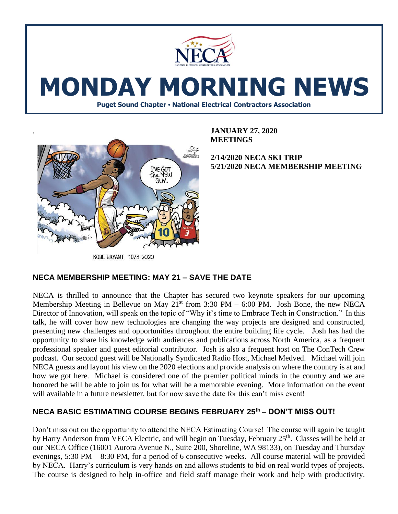

# **MONDAY MORNING NEWS**

**Puget Sound Chapter • National Electrical Contractors Association**



, **JANUARY 27, 2020 MEETINGS**

**2/14/2020 NECA SKI TRIP 5/21/2020 NECA MEMBERSHIP MEETING** 

# **NECA MEMBERSHIP MEETING: MAY 21 – SAVE THE DATE**

NECA is thrilled to announce that the Chapter has secured two keynote speakers for our upcoming Membership Meeting in Bellevue on May  $21^{st}$  from 3:30 PM – 6:00 PM. Josh Bone, the new NECA Director of Innovation, will speak on the topic of "Why it's time to Embrace Tech in Construction." In this talk, he will cover how new technologies are changing the way projects are designed and constructed, presenting new challenges and opportunities throughout the entire building life cycle. Josh has had the opportunity to share his knowledge with audiences and publications across North America, as a frequent professional speaker and guest editorial contributor. Josh is also a frequent host on The ConTech Crew podcast. Our second guest will be Nationally Syndicated Radio Host, Michael Medved. Michael will join NECA guests and layout his view on the 2020 elections and provide analysis on where the country is at and how we got here. Michael is considered one of the premier political minds in the country and we are honored he will be able to join us for what will be a memorable evening. More information on the event will available in a future newsletter, but for now save the date for this can't miss event!

## **NECA BASIC ESTIMATING COURSE BEGINS FEBRUARY 25th – DON'T MISS OUT!**

Don't miss out on the opportunity to attend the NECA Estimating Course! The course will again be taught by Harry Anderson from VECA Electric, and will begin on Tuesday, February 25<sup>th</sup>. Classes will be held at our NECA Office (16001 Aurora Avenue N., Suite 200, Shoreline, WA 98133), on Tuesday and Thursday evenings, 5:30 PM – 8:30 PM, for a period of 6 consecutive weeks. All course material will be provided by NECA. Harry's curriculum is very hands on and allows students to bid on real world types of projects. The course is designed to help in-office and field staff manage their work and help with productivity.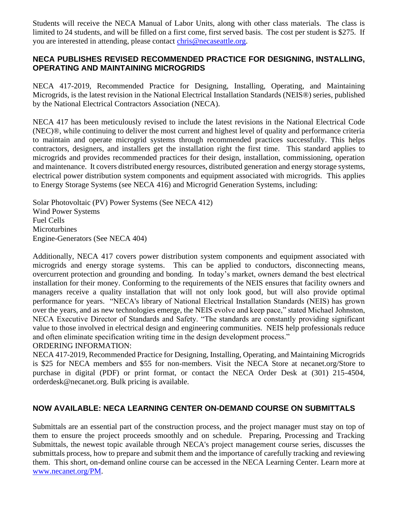Students will receive the NECA Manual of Labor Units, along with other class materials. The class is limited to 24 students, and will be filled on a first come, first served basis. The cost per student is \$275. If you are interested in attending, please contact [chris@necaseattle.org.](mailto:chris@necaseattle.org)

### **NECA PUBLISHES REVISED RECOMMENDED PRACTICE FOR DESIGNING, INSTALLING, OPERATING AND MAINTAINING MICROGRIDS**

NECA 417-2019, Recommended Practice for Designing, Installing, Operating, and Maintaining Microgrids, is the latest revision in the National Electrical Installation Standards (NEIS®) series, published by the National Electrical Contractors Association (NECA).

NECA 417 has been meticulously revised to include the latest revisions in the National Electrical Code (NEC)®, while continuing to deliver the most current and highest level of quality and performance criteria to maintain and operate microgrid systems through recommended practices successfully. This helps contractors, designers, and installers get the installation right the first time. This standard applies to microgrids and provides recommended practices for their design, installation, commissioning, operation and maintenance. It covers distributed energy resources, distributed generation and energy storage systems, electrical power distribution system components and equipment associated with microgrids. This applies to Energy Storage Systems (see NECA 416) and Microgrid Generation Systems, including:

Solar Photovoltaic (PV) Power Systems (See NECA 412) Wind Power Systems Fuel Cells Microturbines Engine-Generators (See NECA 404)

Additionally, NECA 417 covers power distribution system components and equipment associated with microgrids and energy storage systems. This can be applied to conductors, disconnecting means, overcurrent protection and grounding and bonding. In today's market, owners demand the best electrical installation for their money. Conforming to the requirements of the NEIS ensures that facility owners and managers receive a quality installation that will not only look good, but will also provide optimal performance for years. "NECA's library of National Electrical Installation Standards (NEIS) has grown over the years, and as new technologies emerge, the NEIS evolve and keep pace," stated Michael Johnston, NECA Executive Director of Standards and Safety. "The standards are constantly providing significant value to those involved in electrical design and engineering communities. NEIS help professionals reduce and often eliminate specification writing time in the design development process." ORDERING INFORMATION:

NECA 417-2019, Recommended Practice for Designing, Installing, Operating, and Maintaining Microgrids is \$25 for NECA members and \$55 for non-members. Visit the NECA Store at necanet.org/Store to purchase in digital (PDF) or print format, or contact the NECA Order Desk at (301) 215-4504, orderdesk@necanet.org. Bulk pricing is available.

#### **NOW AVAILABLE: NECA LEARNING CENTER ON-DEMAND COURSE ON SUBMITTALS**

Submittals are an essential part of the construction process, and the project manager must stay on top of them to ensure the project proceeds smoothly and on schedule. Preparing, Processing and Tracking Submittals, the newest topic available through NECA's project management course series, discusses the submittals process, how to prepare and submit them and the importance of carefully tracking and reviewing them. This short, on-demand online course can be accessed in the NECA Learning Center. Learn more at [www.necanet.org/PM.](http://www.necanet.org/PM)